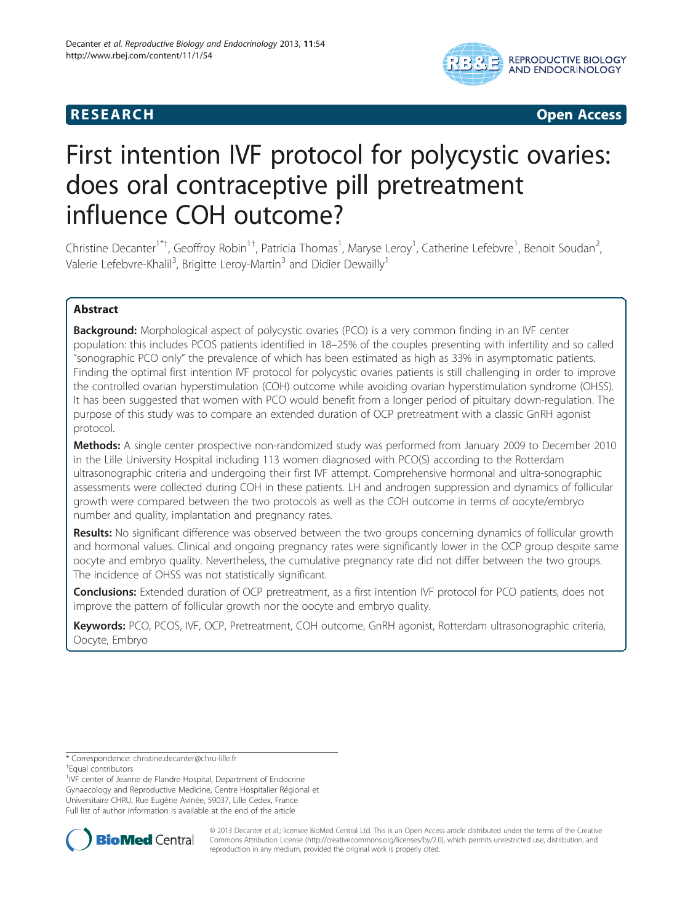## R E S EAR CH Open Access



# First intention IVF protocol for polycystic ovaries: does oral contraceptive pill pretreatment influence COH outcome?

Christine Decanter<sup>1\*†</sup>, Geoffroy Robin<sup>1†</sup>, Patricia Thomas<sup>1</sup>, Maryse Leroy<sup>1</sup>, Catherine Lefebvre<sup>1</sup>, Benoit Soudan<sup>2</sup> .<br>, Valerie Lefebvre-Khalil<sup>3</sup>, Brigitte Leroy-Martin<sup>3</sup> and Didier Dewailly<sup>1</sup>

## Abstract

Background: Morphological aspect of polycystic ovaries (PCO) is a very common finding in an IVF center population: this includes PCOS patients identified in 18–25% of the couples presenting with infertility and so called "sonographic PCO only" the prevalence of which has been estimated as high as 33% in asymptomatic patients. Finding the optimal first intention IVF protocol for polycystic ovaries patients is still challenging in order to improve the controlled ovarian hyperstimulation (COH) outcome while avoiding ovarian hyperstimulation syndrome (OHSS). It has been suggested that women with PCO would benefit from a longer period of pituitary down-regulation. The purpose of this study was to compare an extended duration of OCP pretreatment with a classic GnRH agonist protocol.

Methods: A single center prospective non-randomized study was performed from January 2009 to December 2010 in the Lille University Hospital including 113 women diagnosed with PCO(S) according to the Rotterdam ultrasonographic criteria and undergoing their first IVF attempt. Comprehensive hormonal and ultra-sonographic assessments were collected during COH in these patients. LH and androgen suppression and dynamics of follicular growth were compared between the two protocols as well as the COH outcome in terms of oocyte/embryo number and quality, implantation and pregnancy rates.

Results: No significant difference was observed between the two groups concerning dynamics of follicular growth and hormonal values. Clinical and ongoing pregnancy rates were significantly lower in the OCP group despite same oocyte and embryo quality. Nevertheless, the cumulative pregnancy rate did not differ between the two groups. The incidence of OHSS was not statistically significant.

Conclusions: Extended duration of OCP pretreatment, as a first intention IVF protocol for PCO patients, does not improve the pattern of follicular growth nor the oocyte and embryo quality.

Keywords: PCO, PCOS, IVF, OCP, Pretreatment, COH outcome, GnRH agonist, Rotterdam ultrasonographic criteria, Oocyte, Embryo

<sup>1</sup>IVF center of Jeanne de Flandre Hospital, Department of Endocrine Gynaecology and Reproductive Medicine, Centre Hospitalier Régional et Universitaire CHRU, Rue Eugène Avinée, 59037, Lille Cedex, France Full list of author information is available at the end of the article



© 2013 Decanter et al.; licensee BioMed Central Ltd. This is an Open Access article distributed under the terms of the Creative Commons Attribution License [\(http://creativecommons.org/licenses/by/2.0\)](http://creativecommons.org/licenses/by/2.0), which permits unrestricted use, distribution, and reproduction in any medium, provided the original work is properly cited.

<sup>\*</sup> Correspondence: [christine.decanter@chru-lille.fr](mailto:christine.decanter@chru-lille.fr) †

Equal contributors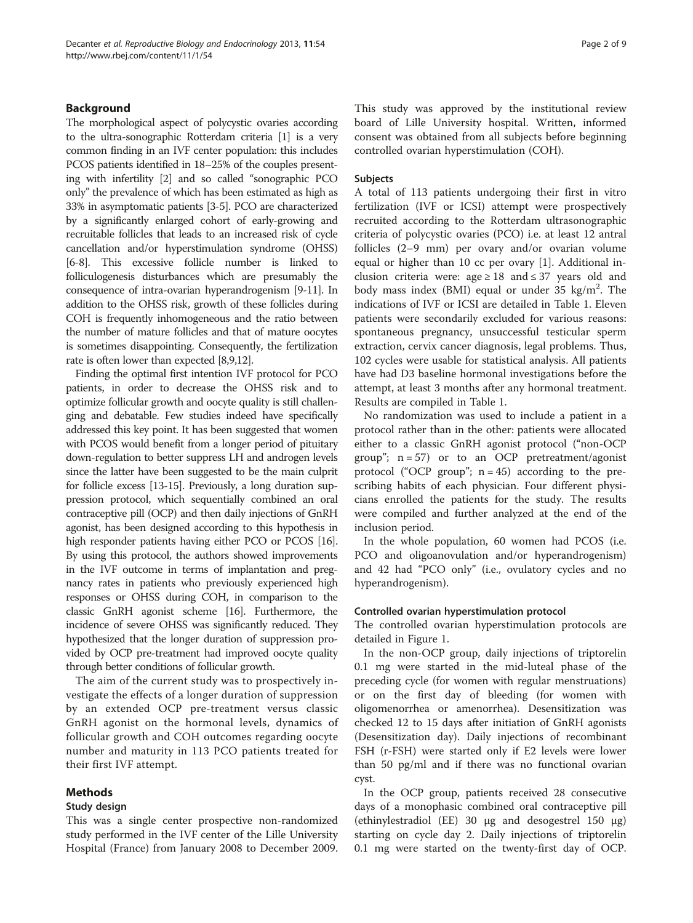## Background

The morphological aspect of polycystic ovaries according to the ultra-sonographic Rotterdam criteria [\[1\]](#page-8-0) is a very common finding in an IVF center population: this includes PCOS patients identified in 18–25% of the couples presenting with infertility [\[2\]](#page-8-0) and so called "sonographic PCO only" the prevalence of which has been estimated as high as 33% in asymptomatic patients [[3](#page-8-0)-[5](#page-8-0)]. PCO are characterized by a significantly enlarged cohort of early-growing and recruitable follicles that leads to an increased risk of cycle cancellation and/or hyperstimulation syndrome (OHSS) [[6](#page-8-0)-[8\]](#page-8-0). This excessive follicle number is linked to folliculogenesis disturbances which are presumably the consequence of intra-ovarian hyperandrogenism [[9-11](#page-8-0)]. In addition to the OHSS risk, growth of these follicles during COH is frequently inhomogeneous and the ratio between the number of mature follicles and that of mature oocytes is sometimes disappointing. Consequently, the fertilization rate is often lower than expected [\[8,9,12](#page-8-0)].

Finding the optimal first intention IVF protocol for PCO patients, in order to decrease the OHSS risk and to optimize follicular growth and oocyte quality is still challenging and debatable. Few studies indeed have specifically addressed this key point. It has been suggested that women with PCOS would benefit from a longer period of pituitary down-regulation to better suppress LH and androgen levels since the latter have been suggested to be the main culprit for follicle excess [\[13-15\]](#page-8-0). Previously, a long duration suppression protocol, which sequentially combined an oral contraceptive pill (OCP) and then daily injections of GnRH agonist, has been designed according to this hypothesis in high responder patients having either PCO or PCOS [\[16](#page-8-0)]. By using this protocol, the authors showed improvements in the IVF outcome in terms of implantation and pregnancy rates in patients who previously experienced high responses or OHSS during COH, in comparison to the classic GnRH agonist scheme [[16](#page-8-0)]. Furthermore, the incidence of severe OHSS was significantly reduced. They hypothesized that the longer duration of suppression provided by OCP pre-treatment had improved oocyte quality through better conditions of follicular growth.

The aim of the current study was to prospectively investigate the effects of a longer duration of suppression by an extended OCP pre-treatment versus classic GnRH agonist on the hormonal levels, dynamics of follicular growth and COH outcomes regarding oocyte number and maturity in 113 PCO patients treated for their first IVF attempt.

### Methods

### Study design

This study was approved by the institutional review board of Lille University hospital. Written, informed consent was obtained from all subjects before beginning controlled ovarian hyperstimulation (COH).

#### Subjects

A total of 113 patients undergoing their first in vitro fertilization (IVF or ICSI) attempt were prospectively recruited according to the Rotterdam ultrasonographic criteria of polycystic ovaries (PCO) i.e. at least 12 antral follicles (2–9 mm) per ovary and/or ovarian volume equal or higher than 10 cc per ovary [\[1](#page-8-0)]. Additional inclusion criteria were: age  $\geq 18$  and  $\leq 37$  years old and body mass index (BMI) equal or under  $35 \text{ kg/m}^2$ . The indications of IVF or ICSI are detailed in Table [1](#page-2-0). Eleven patients were secondarily excluded for various reasons: spontaneous pregnancy, unsuccessful testicular sperm extraction, cervix cancer diagnosis, legal problems. Thus, 102 cycles were usable for statistical analysis. All patients have had D3 baseline hormonal investigations before the attempt, at least 3 months after any hormonal treatment. Results are compiled in Table [1.](#page-2-0)

No randomization was used to include a patient in a protocol rather than in the other: patients were allocated either to a classic GnRH agonist protocol ("non-OCP group";  $n = 57$ ) or to an OCP pretreatment/agonist protocol ("OCP group";  $n = 45$ ) according to the prescribing habits of each physician. Four different physicians enrolled the patients for the study. The results were compiled and further analyzed at the end of the inclusion period.

In the whole population, 60 women had PCOS (i.e. PCO and oligoanovulation and/or hyperandrogenism) and 42 had "PCO only" (i.e., ovulatory cycles and no hyperandrogenism).

### Controlled ovarian hyperstimulation protocol

The controlled ovarian hyperstimulation protocols are detailed in Figure [1](#page-2-0).

In the non-OCP group, daily injections of triptorelin 0.1 mg were started in the mid-luteal phase of the preceding cycle (for women with regular menstruations) or on the first day of bleeding (for women with oligomenorrhea or amenorrhea). Desensitization was checked 12 to 15 days after initiation of GnRH agonists (Desensitization day). Daily injections of recombinant FSH (r-FSH) were started only if E2 levels were lower than 50 pg/ml and if there was no functional ovarian cyst.

In the OCP group, patients received 28 consecutive days of a monophasic combined oral contraceptive pill (ethinylestradiol (EE) 30 μg and desogestrel 150 μg) starting on cycle day 2. Daily injections of triptorelin 0.1 mg were started on the twenty-first day of OCP.

This was a single center prospective non-randomized study performed in the IVF center of the Lille University Hospital (France) from January 2008 to December 2009.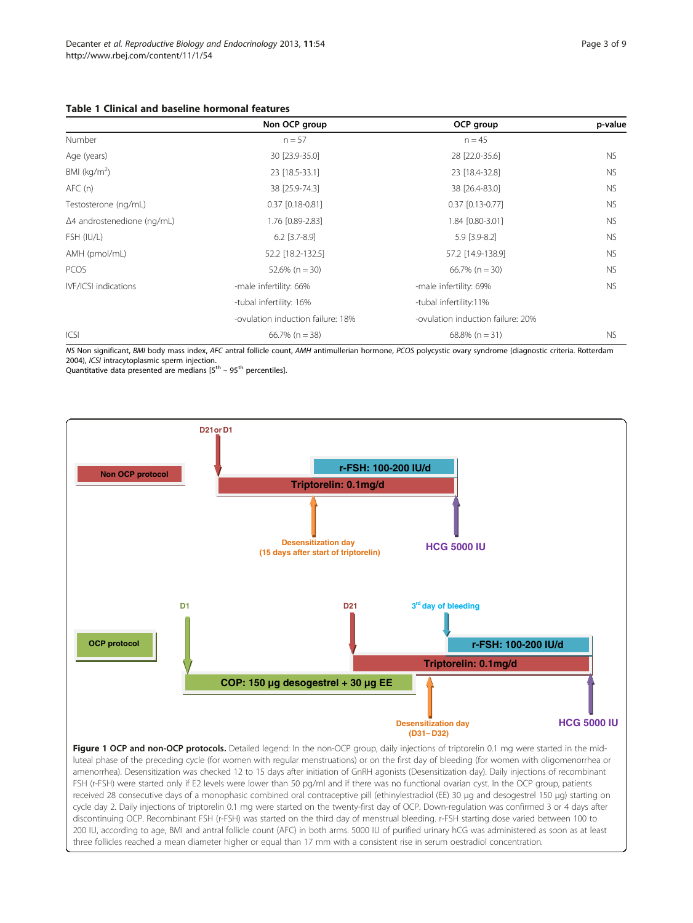### <span id="page-2-0"></span>Table 1 Clinical and baseline hormonal features

|                                    | Non OCP group                     | OCP group                         | p-value   |
|------------------------------------|-----------------------------------|-----------------------------------|-----------|
| Number                             | $n = 57$                          | $n = 45$                          |           |
| Age (years)                        | 30 [23.9-35.0]                    | 28 [22.0-35.6]                    | <b>NS</b> |
| BMI ( $kg/m2$ )                    | 23 [18.5-33.1]                    | 23 [18.4-32.8]                    | <b>NS</b> |
| AFC(n)                             | 38 [25.9-74.3]                    | 38 [26.4-83.0]                    | <b>NS</b> |
| Testosterone (ng/mL)               | $0.37$ [0.18-0.81]                | $0.37$ $[0.13 - 0.77]$            | <b>NS</b> |
| $\Delta$ 4 androstenedione (ng/mL) | 1.76 [0.89-2.83]                  | 1.84 [0.80-3.01]                  | <b>NS</b> |
| FSH (IU/L)                         | $6.2$ [3.7-8.9]                   | 5.9 [3.9-8.2]                     | <b>NS</b> |
| AMH (pmol/mL)                      | 52.2 [18.2-132.5]                 | 57.2 [14.9-138.9]                 | <b>NS</b> |
| PCOS                               | $52.6\%$ (n = 30)                 | $66.7\%$ (n = 30)                 | <b>NS</b> |
| <b>IVF/ICSI indications</b>        | -male infertility: 66%            | -male infertility: 69%            | <b>NS</b> |
|                                    | -tubal infertility: 16%           | -tubal infertility:11%            |           |
|                                    | -ovulation induction failure: 18% | -ovulation induction failure: 20% |           |
| ICSI                               | $66.7\%$ (n = 38)                 | $68.8\%$ (n = 31)                 | <b>NS</b> |

NS Non significant, BMI body mass index, AFC antral follicle count, AMH antimullerian hormone, PCOS polycystic ovary syndrome (diagnostic criteria. Rotterdam 2004), ICSI intracytoplasmic sperm injection.

Quantitative data presented are medians  $[5<sup>th</sup> - 95<sup>th</sup>$  percentiles].



cycle day 2. Daily injections of triptorelin 0.1 mg were started on the twenty-first day of OCP. Down-regulation was confirmed 3 or 4 days after discontinuing OCP. Recombinant FSH (r-FSH) was started on the third day of menstrual bleeding. r-FSH starting dose varied between 100 to 200 IU, according to age, BMI and antral follicle count (AFC) in both arms. 5000 IU of purified urinary hCG was administered as soon as at least three follicles reached a mean diameter higher or equal than 17 mm with a consistent rise in serum oestradiol concentration.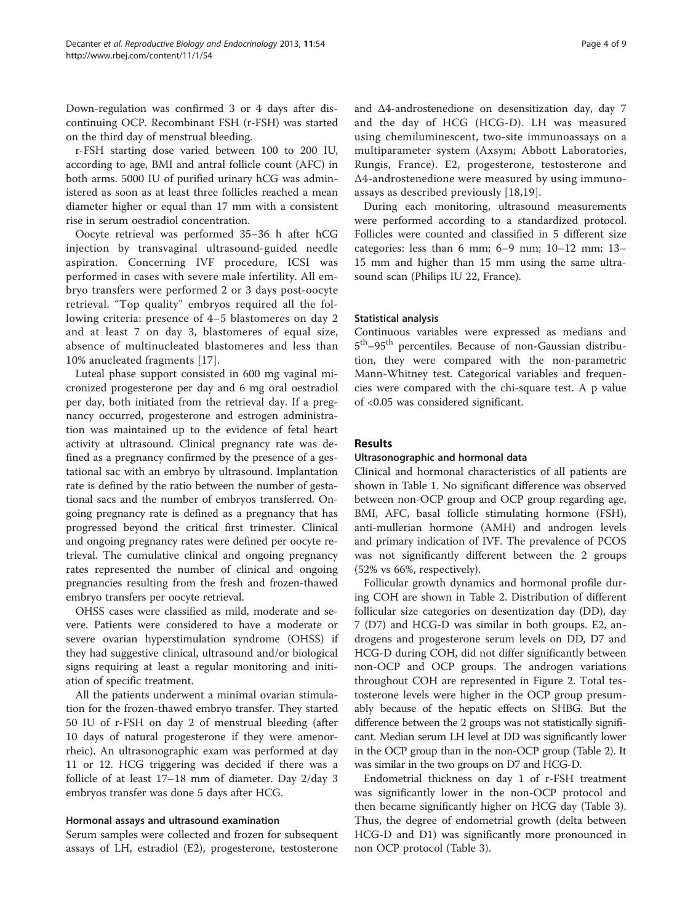Down-regulation was confirmed 3 or 4 days after discontinuing OCP. Recombinant FSH (r-FSH) was started on the third day of menstrual bleeding.

r-FSH starting dose varied between 100 to 200 IU, according to age, BMI and antral follicle count (AFC) in both arms. 5000 IU of purified urinary hCG was administered as soon as at least three follicles reached a mean diameter higher or equal than 17 mm with a consistent rise in serum oestradiol concentration.

Oocyte retrieval was performed 35–36 h after hCG injection by transvaginal ultrasound-guided needle aspiration. Concerning IVF procedure, ICSI was performed in cases with severe male infertility. All embryo transfers were performed 2 or 3 days post-oocyte retrieval. "Top quality" embryos required all the following criteria: presence of 4–5 blastomeres on day 2 and at least 7 on day 3, blastomeres of equal size, absence of multinucleated blastomeres and less than 10% anucleated fragments [\[17](#page-8-0)].

Luteal phase support consisted in 600 mg vaginal micronized progesterone per day and 6 mg oral oestradiol per day, both initiated from the retrieval day. If a pregnancy occurred, progesterone and estrogen administration was maintained up to the evidence of fetal heart activity at ultrasound. Clinical pregnancy rate was defined as a pregnancy confirmed by the presence of a gestational sac with an embryo by ultrasound. Implantation rate is defined by the ratio between the number of gestational sacs and the number of embryos transferred. Ongoing pregnancy rate is defined as a pregnancy that has progressed beyond the critical first trimester. Clinical and ongoing pregnancy rates were defined per oocyte retrieval. The cumulative clinical and ongoing pregnancy rates represented the number of clinical and ongoing pregnancies resulting from the fresh and frozen-thawed embryo transfers per oocyte retrieval.

OHSS cases were classified as mild, moderate and severe. Patients were considered to have a moderate or severe ovarian hyperstimulation syndrome (OHSS) if they had suggestive clinical, ultrasound and/or biological signs requiring at least a regular monitoring and initiation of specific treatment.

All the patients underwent a minimal ovarian stimulation for the frozen-thawed embryo transfer. They started 50 IU of r-FSH on day 2 of menstrual bleeding (after 10 days of natural progesterone if they were amenorrheic). An ultrasonographic exam was performed at day 11 or 12. HCG triggering was decided if there was a follicle of at least 17–18 mm of diameter. Day 2/day 3 embryos transfer was done 5 days after HCG.

### Hormonal assays and ultrasound examination

Serum samples were collected and frozen for subsequent assays of LH, estradiol (E2), progesterone, testosterone and Δ4-androstenedione on desensitization day, day 7 and the day of HCG (HCG-D). LH was measured using chemiluminescent, two-site immunoassays on a multiparameter system (Axsym; Abbott Laboratories, Rungis, France). E2, progesterone, testosterone and Δ4-androstenedione were measured by using immunoassays as described previously [[18](#page-8-0),[19\]](#page-8-0).

During each monitoring, ultrasound measurements were performed according to a standardized protocol. Follicles were counted and classified in 5 different size categories: less than 6 mm; 6–9 mm; 10–12 mm; 13– 15 mm and higher than 15 mm using the same ultrasound scan (Philips IU 22, France).

## Statistical analysis

Continuous variables were expressed as medians and 5th–95th percentiles. Because of non-Gaussian distribution, they were compared with the non-parametric Mann-Whitney test. Categorical variables and frequencies were compared with the chi-square test. A p value of <0.05 was considered significant.

## Results

#### Ultrasonographic and hormonal data

Clinical and hormonal characteristics of all patients are shown in Table [1](#page-2-0). No significant difference was observed between non-OCP group and OCP group regarding age, BMI, AFC, basal follicle stimulating hormone (FSH), anti-mullerian hormone (AMH) and androgen levels and primary indication of IVF. The prevalence of PCOS was not significantly different between the 2 groups (52% vs 66%, respectively).

Follicular growth dynamics and hormonal profile during COH are shown in Table [2.](#page-4-0) Distribution of different follicular size categories on desentization day (DD), day 7 (D7) and HCG-D was similar in both groups. E2, androgens and progesterone serum levels on DD, D7 and HCG-D during COH, did not differ significantly between non-OCP and OCP groups. The androgen variations throughout COH are represented in Figure [2.](#page-4-0) Total testosterone levels were higher in the OCP group presumably because of the hepatic effects on SHBG. But the difference between the 2 groups was not statistically significant. Median serum LH level at DD was significantly lower in the OCP group than in the non-OCP group (Table [2](#page-4-0)). It was similar in the two groups on D7 and HCG-D.

Endometrial thickness on day 1 of r-FSH treatment was significantly lower in the non-OCP protocol and then became significantly higher on HCG day (Table [3](#page-5-0)). Thus, the degree of endometrial growth (delta between HCG-D and D1) was significantly more pronounced in non OCP protocol (Table [3\)](#page-5-0).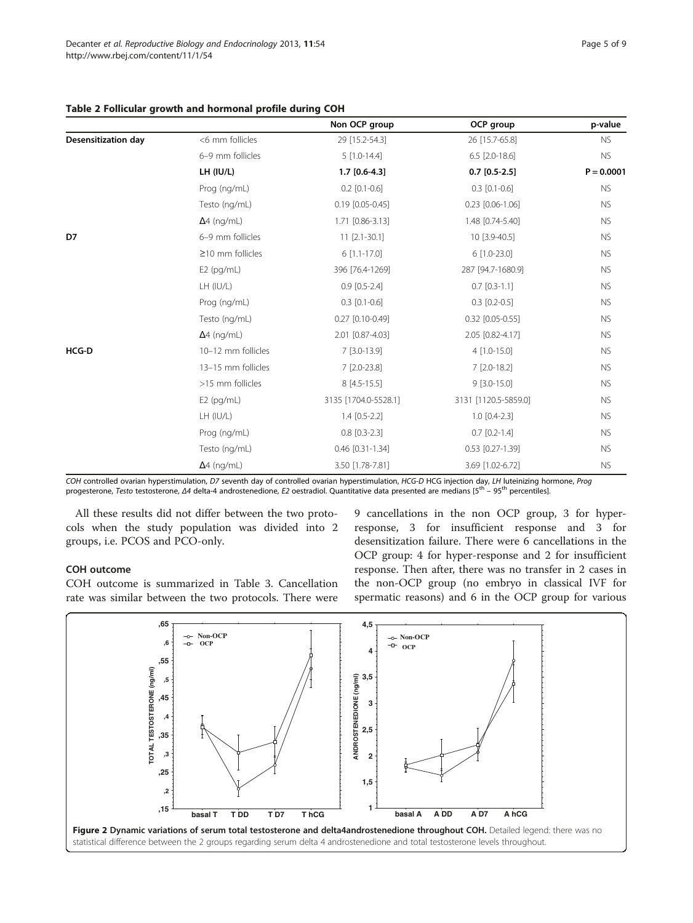## <span id="page-4-0"></span>Table 2 Follicular growth and hormonal profile during COH

|                     |                        | Non OCP group        | OCP group              | p-value      |
|---------------------|------------------------|----------------------|------------------------|--------------|
| Desensitization day | <6 mm follicles        | 29 [15.2-54.3]       | 26 [15.7-65.8]         | <b>NS</b>    |
|                     | 6-9 mm follicles       | $5$ [1.0-14.4]       | $6.5$ [2.0-18.6]       | <b>NS</b>    |
|                     | $LH$ (IU/L)            | $1.7$ [0.6-4.3]      | $0.7$ [0.5-2.5]        | $P = 0.0001$ |
|                     | Prog (ng/mL)           | $0.2$ [0.1-0.6]      | $0.3$ [0.1-0.6]        | <b>NS</b>    |
|                     | Testo (ng/mL)          | $0.19$ [0.05-0.45]   | $0.23$ $[0.06 - 1.06]$ | <b>NS</b>    |
|                     | $\Delta$ 4 (ng/mL)     | 1.71 [0.86-3.13]     | 1.48 [0.74-5.40]       | <b>NS</b>    |
| D7                  | 6-9 mm follicles       | 11 [2.1-30.1]        | 10 [3.9-40.5]          | <b>NS</b>    |
|                     | $\geq$ 10 mm follicles | $6$ [1.1-17.0]       | $6$ [1.0-23.0]         | <b>NS</b>    |
|                     | $E2$ (pg/mL)           | 396 [76.4-1269]      | 287 [94.7-1680.9]      | <b>NS</b>    |
|                     | LH (IU/L)              | $0.9$ [0.5-2.4]      | $0.7$ [0.3-1.1]        | <b>NS</b>    |
|                     | Prog (ng/mL)           | $0.3$ $[0.1 - 0.6]$  | $0.3$ [0.2-0.5]        | <b>NS</b>    |
|                     | Testo (ng/mL)          | $0.27$ [0.10-0.49]   | 0.32 [0.05-0.55]       | <b>NS</b>    |
|                     | $\Delta$ 4 (ng/mL)     | 2.01 [0.87-4.03]     | 2.05 [0.82-4.17]       | <b>NS</b>    |
| HCG-D               | 10-12 mm follicles     | $7$ [3.0-13.9]       | $4$ [1.0-15.0]         | <b>NS</b>    |
|                     | 13-15 mm follicles     | 7 [2.0-23.8]         | 7 [2.0-18.2]           | <b>NS</b>    |
|                     | >15 mm follicles       | 8 [4.5-15.5]         | $9$ [3.0-15.0]         | <b>NS</b>    |
|                     | $E2$ (pg/mL)           | 3135 [1704.0-5528.1] | 3131 [1120.5-5859.0]   | <b>NS</b>    |
|                     | LH (IU/L)              | $1.4$ [0.5-2.2]      | $1.0$ [0.4-2.3]        | <b>NS</b>    |
|                     | Prog (ng/mL)           | $0.8$ $[0.3 - 2.3]$  | $0.7$ $[0.2 - 1.4]$    | <b>NS</b>    |
|                     | Testo (ng/mL)          | 0.46 [0.31-1.34]     | 0.53 [0.27-1.39]       | <b>NS</b>    |
|                     | $\Delta$ 4 (ng/mL)     | 3.50 [1.78-7.81]     | 3.69 [1.02-6.72]       | <b>NS</b>    |

COH controlled ovarian hyperstimulation, D7 seventh day of controlled ovarian hyperstimulation, HCG-D HCG injection day, LH luteinizing hormone, Prog progesterone, Testo testosterone, Δ4 delta-4 androstenedione, E2 oestradiol. Quantitative data presented are medians [5<sup>th</sup> – 95<sup>th</sup> percentiles].

All these results did not differ between the two protocols when the study population was divided into 2 groups, i.e. PCOS and PCO-only.

## COH outcome

COH outcome is summarized in Table [3.](#page-5-0) Cancellation rate was similar between the two protocols. There were 9 cancellations in the non OCP group, 3 for hyperresponse, 3 for insufficient response and 3 for desensitization failure. There were 6 cancellations in the OCP group: 4 for hyper-response and 2 for insufficient response. Then after, there was no transfer in 2 cases in the non-OCP group (no embryo in classical IVF for spermatic reasons) and 6 in the OCP group for various

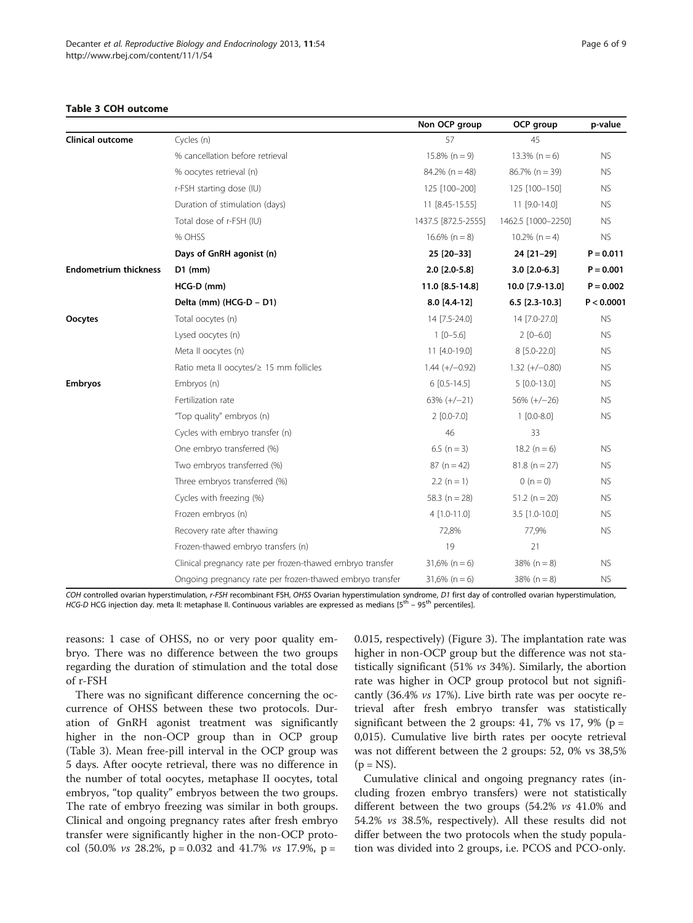#### <span id="page-5-0"></span>Table 3 COH outcome

|                              |                                                           | Non OCP group       | OCP group          | p-value     |
|------------------------------|-----------------------------------------------------------|---------------------|--------------------|-------------|
| <b>Clinical outcome</b>      | Cycles (n)                                                | 57                  | 45                 |             |
|                              | % cancellation before retrieval                           | $15.8\% (n = 9)$    | $13.3\% (n = 6)$   | <b>NS</b>   |
|                              | % oocytes retrieval (n)                                   | $84.2\%$ (n = 48)   | $86.7\%$ (n = 39)  | <b>NS</b>   |
|                              | r-FSH starting dose (IU)                                  | 125 [100-200]       | 125 [100-150]      | <b>NS</b>   |
|                              | Duration of stimulation (days)                            | 11 [8.45-15.55]     | 11 [9.0-14.0]      | <b>NS</b>   |
|                              | Total dose of r-FSH (IU)                                  | 1437.5 [872.5-2555] | 1462.5 [1000-2250] | <b>NS</b>   |
|                              | % OHSS                                                    | $16.6\%$ (n = 8)    | $10.2\%$ (n = 4)   | <b>NS</b>   |
|                              | Days of GnRH agonist (n)                                  | 25 [20-33]          | 24 [21-29]         | $P = 0.011$ |
| <b>Endometrium thickness</b> | $D1$ (mm)                                                 | $2.0$ [2.0-5.8]     | $3.0$ [2.0-6.3]    | $P = 0.001$ |
|                              | HCG-D (mm)                                                | 11.0 [8.5-14.8]     | 10.0 [7.9-13.0]    | $P = 0.002$ |
|                              | Delta (mm) (HCG-D - D1)                                   | 8.0 [4.4-12]        | $6.5$ [2.3-10.3]   | P < 0.0001  |
| Oocytes                      | Total oocytes (n)                                         | 14 [7.5-24.0]       | 14 [7.0-27.0]      | <b>NS</b>   |
|                              | Lysed oocytes (n)                                         | $1 [0 - 5.6]$       | $2 [0 - 6.0]$      | <b>NS</b>   |
|                              | Meta II oocytes (n)                                       | 11 [4.0-19.0]       | 8 [5.0-22.0]       | <b>NS</b>   |
|                              | Ratio meta II oocytes/≥ 15 mm follicles                   | $1.44 (+/-0.92)$    | $1.32 (+/-0.80)$   | <b>NS</b>   |
| Embryos                      | Embryos (n)                                               | $6$ [0.5-14.5]      | $5 [0.0 - 13.0]$   | <b>NS</b>   |
|                              | Fertilization rate                                        | $63\% (+/-21)$      | $56\% (+/-26)$     | <b>NS</b>   |
|                              | "Top quality" embryos (n)                                 | $2 [0.0 - 7.0]$     | $1 [0.0 - 8.0]$    | <b>NS</b>   |
|                              | Cycles with embryo transfer (n)                           | 46                  | 33                 |             |
|                              | One embryo transferred (%)                                | 6.5 ( $n = 3$ )     | $18.2(n=6)$        | <b>NS</b>   |
|                              | Two embryos transferred (%)                               | $87(n=42)$          | $81.8(n = 27)$     | <b>NS</b>   |
|                              | Three embryos transferred (%)                             | $2.2(n=1)$          | $0(n=0)$           | <b>NS</b>   |
|                              | Cycles with freezing (%)                                  | 58.3 ( $n = 28$ )   | $51.2(n = 20)$     | <b>NS</b>   |
|                              | Frozen embryos (n)                                        | $4$ [1.0-11.0]      | 3.5 [1.0-10.0]     | <b>NS</b>   |
|                              | Recovery rate after thawing                               | 72,8%               | 77,9%              | <b>NS</b>   |
|                              | Frozen-thawed embryo transfers (n)                        | 19                  | 21                 |             |
|                              | Clinical pregnancy rate per frozen-thawed embryo transfer | $31,6\%$ (n = 6)    | $38\% (n = 8)$     | <b>NS</b>   |
|                              | Ongoing pregnancy rate per frozen-thawed embryo transfer  | $31,6\%$ (n = 6)    | $38\% (n = 8)$     | <b>NS</b>   |

COH controlled ovarian hyperstimulation, r-FSH recombinant FSH, OHSS Ovarian hyperstimulation syndrome, D1 first day of controlled ovarian hyperstimulation, HCG-D HCG injection day. meta II: metaphase II. Continuous variables are expressed as medians  $[5^{th}$  – 95<sup>th</sup> percentiles].

reasons: 1 case of OHSS, no or very poor quality embryo. There was no difference between the two groups regarding the duration of stimulation and the total dose of r-FSH

There was no significant difference concerning the occurrence of OHSS between these two protocols. Duration of GnRH agonist treatment was significantly higher in the non-OCP group than in OCP group (Table 3). Mean free-pill interval in the OCP group was 5 days. After oocyte retrieval, there was no difference in the number of total oocytes, metaphase II oocytes, total embryos, "top quality" embryos between the two groups. The rate of embryo freezing was similar in both groups. Clinical and ongoing pregnancy rates after fresh embryo transfer were significantly higher in the non-OCP protocol (50.0%  $vs$  28.2%, p = 0.032 and 41.7%  $vs$  17.9%, p =

0.015, respectively) (Figure [3](#page-6-0)). The implantation rate was higher in non-OCP group but the difference was not statistically significant (51% vs 34%). Similarly, the abortion rate was higher in OCP group protocol but not significantly (36.4% vs 17%). Live birth rate was per oocyte retrieval after fresh embryo transfer was statistically significant between the 2 groups: 41, 7% vs 17, 9% ( $p =$ 0,015). Cumulative live birth rates per oocyte retrieval was not different between the 2 groups: 52, 0% vs 38,5%  $(p = NS)$ .

Cumulative clinical and ongoing pregnancy rates (including frozen embryo transfers) were not statistically different between the two groups (54.2% vs 41.0% and 54.2% vs 38.5%, respectively). All these results did not differ between the two protocols when the study population was divided into 2 groups, i.e. PCOS and PCO-only.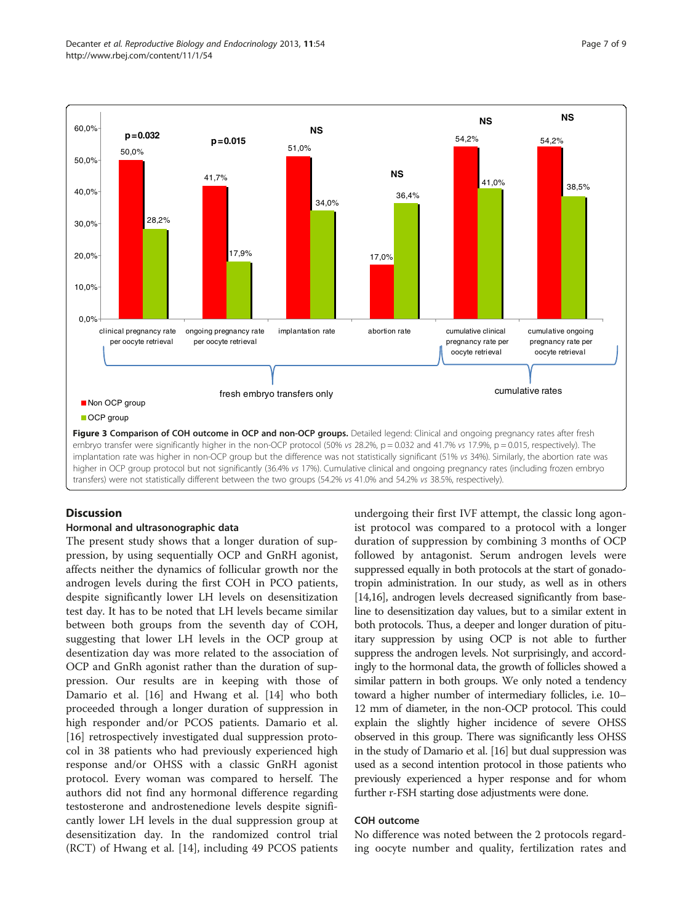

<span id="page-6-0"></span>

## **Discussion**

## Hormonal and ultrasonographic data

The present study shows that a longer duration of suppression, by using sequentially OCP and GnRH agonist, affects neither the dynamics of follicular growth nor the androgen levels during the first COH in PCO patients, despite significantly lower LH levels on desensitization test day. It has to be noted that LH levels became similar between both groups from the seventh day of COH, suggesting that lower LH levels in the OCP group at desentization day was more related to the association of OCP and GnRh agonist rather than the duration of suppression. Our results are in keeping with those of Damario et al. [[16\]](#page-8-0) and Hwang et al. [\[14\]](#page-8-0) who both proceeded through a longer duration of suppression in high responder and/or PCOS patients. Damario et al. [[16\]](#page-8-0) retrospectively investigated dual suppression protocol in 38 patients who had previously experienced high response and/or OHSS with a classic GnRH agonist protocol. Every woman was compared to herself. The authors did not find any hormonal difference regarding testosterone and androstenedione levels despite significantly lower LH levels in the dual suppression group at desensitization day. In the randomized control trial (RCT) of Hwang et al. [[14](#page-8-0)], including 49 PCOS patients

undergoing their first IVF attempt, the classic long agonist protocol was compared to a protocol with a longer duration of suppression by combining 3 months of OCP followed by antagonist. Serum androgen levels were suppressed equally in both protocols at the start of gonadotropin administration. In our study, as well as in others [[14,16\]](#page-8-0), androgen levels decreased significantly from baseline to desensitization day values, but to a similar extent in both protocols. Thus, a deeper and longer duration of pituitary suppression by using OCP is not able to further suppress the androgen levels. Not surprisingly, and accordingly to the hormonal data, the growth of follicles showed a similar pattern in both groups. We only noted a tendency toward a higher number of intermediary follicles, i.e. 10– 12 mm of diameter, in the non-OCP protocol. This could explain the slightly higher incidence of severe OHSS observed in this group. There was significantly less OHSS in the study of Damario et al. [[16](#page-8-0)] but dual suppression was used as a second intention protocol in those patients who previously experienced a hyper response and for whom further r-FSH starting dose adjustments were done.

### COH outcome

No difference was noted between the 2 protocols regarding oocyte number and quality, fertilization rates and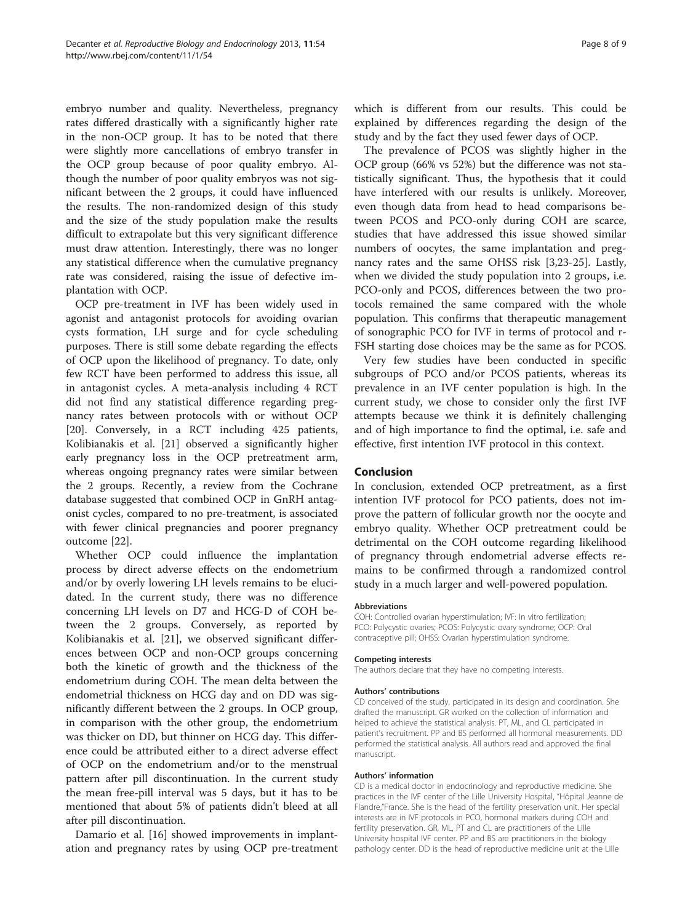embryo number and quality. Nevertheless, pregnancy rates differed drastically with a significantly higher rate in the non-OCP group. It has to be noted that there were slightly more cancellations of embryo transfer in the OCP group because of poor quality embryo. Although the number of poor quality embryos was not significant between the 2 groups, it could have influenced the results. The non-randomized design of this study and the size of the study population make the results difficult to extrapolate but this very significant difference must draw attention. Interestingly, there was no longer any statistical difference when the cumulative pregnancy rate was considered, raising the issue of defective implantation with OCP.

OCP pre-treatment in IVF has been widely used in agonist and antagonist protocols for avoiding ovarian cysts formation, LH surge and for cycle scheduling purposes. There is still some debate regarding the effects of OCP upon the likelihood of pregnancy. To date, only few RCT have been performed to address this issue, all in antagonist cycles. A meta-analysis including 4 RCT did not find any statistical difference regarding pregnancy rates between protocols with or without OCP [[20\]](#page-8-0). Conversely, in a RCT including 425 patients, Kolibianakis et al. [[21](#page-8-0)] observed a significantly higher early pregnancy loss in the OCP pretreatment arm, whereas ongoing pregnancy rates were similar between the 2 groups. Recently, a review from the Cochrane database suggested that combined OCP in GnRH antagonist cycles, compared to no pre-treatment, is associated with fewer clinical pregnancies and poorer pregnancy outcome [\[22](#page-8-0)].

Whether OCP could influence the implantation process by direct adverse effects on the endometrium and/or by overly lowering LH levels remains to be elucidated. In the current study, there was no difference concerning LH levels on D7 and HCG-D of COH between the 2 groups. Conversely, as reported by Kolibianakis et al. [\[21](#page-8-0)], we observed significant differences between OCP and non-OCP groups concerning both the kinetic of growth and the thickness of the endometrium during COH. The mean delta between the endometrial thickness on HCG day and on DD was significantly different between the 2 groups. In OCP group, in comparison with the other group, the endometrium was thicker on DD, but thinner on HCG day. This difference could be attributed either to a direct adverse effect of OCP on the endometrium and/or to the menstrual pattern after pill discontinuation. In the current study the mean free-pill interval was 5 days, but it has to be mentioned that about 5% of patients didn't bleed at all after pill discontinuation.

Damario et al. [[16\]](#page-8-0) showed improvements in implantation and pregnancy rates by using OCP pre-treatment which is different from our results. This could be explained by differences regarding the design of the study and by the fact they used fewer days of OCP.

The prevalence of PCOS was slightly higher in the OCP group (66% vs 52%) but the difference was not statistically significant. Thus, the hypothesis that it could have interfered with our results is unlikely. Moreover, even though data from head to head comparisons between PCOS and PCO-only during COH are scarce, studies that have addressed this issue showed similar numbers of oocytes, the same implantation and pregnancy rates and the same OHSS risk [\[3,23](#page-8-0)-[25](#page-8-0)]. Lastly, when we divided the study population into 2 groups, i.e. PCO-only and PCOS, differences between the two protocols remained the same compared with the whole population. This confirms that therapeutic management of sonographic PCO for IVF in terms of protocol and r-FSH starting dose choices may be the same as for PCOS.

Very few studies have been conducted in specific subgroups of PCO and/or PCOS patients, whereas its prevalence in an IVF center population is high. In the current study, we chose to consider only the first IVF attempts because we think it is definitely challenging and of high importance to find the optimal, i.e. safe and effective, first intention IVF protocol in this context.

### Conclusion

In conclusion, extended OCP pretreatment, as a first intention IVF protocol for PCO patients, does not improve the pattern of follicular growth nor the oocyte and embryo quality. Whether OCP pretreatment could be detrimental on the COH outcome regarding likelihood of pregnancy through endometrial adverse effects remains to be confirmed through a randomized control study in a much larger and well-powered population.

#### Abbreviations

COH: Controlled ovarian hyperstimulation; IVF: In vitro fertilization; PCO: Polycystic ovaries; PCOS: Polycystic ovary syndrome; OCP: Oral contraceptive pill; OHSS: Ovarian hyperstimulation syndrome.

#### Competing interests

The authors declare that they have no competing interests.

#### Authors' contributions

CD conceived of the study, participated in its design and coordination. She drafted the manuscript. GR worked on the collection of information and helped to achieve the statistical analysis. PT, ML, and CL participated in patient's recruitment. PP and BS performed all hormonal measurements. DD performed the statistical analysis. All authors read and approved the final manuscript.

#### Authors' information

CD is a medical doctor in endocrinology and reproductive medicine. She practices in the IVF center of the Lille University Hospital, "Hôpital Jeanne de Flandre,"France. She is the head of the fertility preservation unit. Her special interests are in IVF protocols in PCO, hormonal markers during COH and fertility preservation. GR, ML, PT and CL are practitioners of the Lille University hospital IVF center. PP and BS are practitioners in the biology pathology center. DD is the head of reproductive medicine unit at the Lille